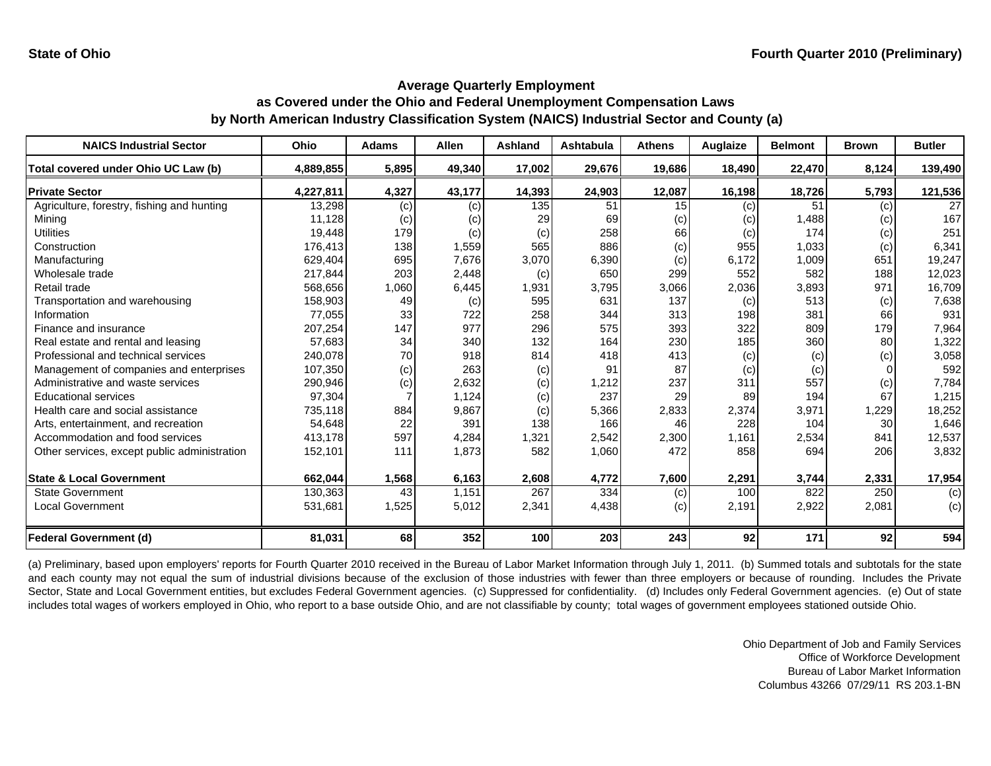| <b>NAICS Industrial Sector</b>               | Ohio      | <b>Adams</b> | Allen  | <b>Ashland</b> | <b>Ashtabula</b> | <b>Athens</b> | Auglaize | <b>Belmont</b> | <b>Brown</b> | <b>Butler</b>   |
|----------------------------------------------|-----------|--------------|--------|----------------|------------------|---------------|----------|----------------|--------------|-----------------|
| Total covered under Ohio UC Law (b)          | 4,889,855 | 5,895        | 49,340 | 17,002         | 29,676           | 19,686        | 18,490   | 22,470         | 8,124        | 139,490         |
| <b>Private Sector</b>                        | 4,227,811 | 4,327        | 43,177 | 14,393         | 24,903           | 12,087        | 16,198   | 18,726         | 5,793        | 121,536         |
| Agriculture, forestry, fishing and hunting   | 13,298    | (c)          | (c)    | 135            | 51               | 15            | (c)      | 51             | (c)          | 27 <sup>1</sup> |
| Mining                                       | 11,128    | (c)          | (c)    | 29             | 69               | (c)           | (c)      | 1,488          | (c)          | 167             |
| <b>Utilities</b>                             | 19,448    | 179          | (c)    | (c)            | 258              | 66            | (c)      | 174            | (c)          | 251             |
| Construction                                 | 176,413   | 138          | 1,559  | 565            | 886              | (c)           | 955      | 1,033          | (c)          | 6,341           |
| Manufacturing                                | 629,404   | 695          | 7,676  | 3,070          | 6,390            | (c)           | 6,172    | 1,009          | 651          | 19,247          |
| Wholesale trade                              | 217,844   | 203          | 2,448  | (c)            | 650              | 299           | 552      | 582            | 188          | 12,023          |
| Retail trade                                 | 568,656   | 1,060        | 6,445  | 1,931          | 3,795            | 3,066         | 2,036    | 3,893          | 971          | 16,709          |
| Transportation and warehousing               | 158,903   | 49           | (c)    | 595            | 631              | 137           | (c)      | 513            | (c)          | 7,638           |
| Information                                  | 77,055    | 33           | 722    | 258            | 344              | 313           | 198      | 381            | 66           | 931             |
| Finance and insurance                        | 207,254   | 147          | 977    | 296            | 575              | 393           | 322      | 809            | 179          | 7,964           |
| Real estate and rental and leasing           | 57,683    | 34           | 340    | 132            | 164              | 230           | 185      | 360            | 80           | 1,322           |
| Professional and technical services          | 240,078   | 70           | 918    | 814            | 418              | 413           | (c)      | (c)            | (c)          | 3,058           |
| Management of companies and enterprises      | 107,350   | (c)          | 263    | (c)            | 91               | 87            | (c)      | (c)            |              | 592             |
| Administrative and waste services            | 290,946   | (c)          | 2,632  | (c)            | 1,212            | 237           | 311      | 557            | (c)          | 7,784           |
| <b>Educational services</b>                  | 97,304    |              | 1,124  | (c)            | 237              | 29            | 89       | 194            | 67           | 1,215           |
| Health care and social assistance            | 735,118   | 884          | 9,867  | (c)            | 5,366            | 2,833         | 2,374    | 3,971          | 1,229        | 18,252          |
| Arts, entertainment, and recreation          | 54,648    | 22           | 391    | 138            | 166              | 46            | 228      | 104            | 30           | 1,646           |
| Accommodation and food services              | 413,178   | 597          | 4,284  | 1,321          | 2,542            | 2,300         | 1,161    | 2,534          | 841          | 12,537          |
| Other services, except public administration | 152,101   | 111          | 1,873  | 582            | 1,060            | 472           | 858      | 694            | 206          | 3,832           |
| <b>State &amp; Local Government</b>          | 662,044   | 1,568        | 6,163  | 2,608          | 4,772            | 7,600         | 2,291    | 3,744          | 2,331        | 17,954          |
| <b>State Government</b>                      | 130,363   | 43           | 1,151  | 267            | 334              | (c)           | 100      | 822            | 250          | (c)             |
| <b>Local Government</b>                      | 531,681   | 1,525        | 5,012  | 2,341          | 4,438            | (c)           | 2,191    | 2,922          | 2,081        | (c)             |
| Federal Government (d)                       | 81,031    | 68           | 352    | 100            | 203              | 243           | 92       | 171            | 92           | 594             |

(a) Preliminary, based upon employers' reports for Fourth Quarter 2010 received in the Bureau of Labor Market Information through July 1, 2011. (b) Summed totals and subtotals for the state and each county may not equal the sum of industrial divisions because of the exclusion of those industries with fewer than three employers or because of rounding. Includes the Private Sector, State and Local Government entities, but excludes Federal Government agencies. (c) Suppressed for confidentiality. (d) Includes only Federal Government agencies. (e) Out of state includes total wages of workers employed in Ohio, who report to a base outside Ohio, and are not classifiable by county; total wages of government employees stationed outside Ohio.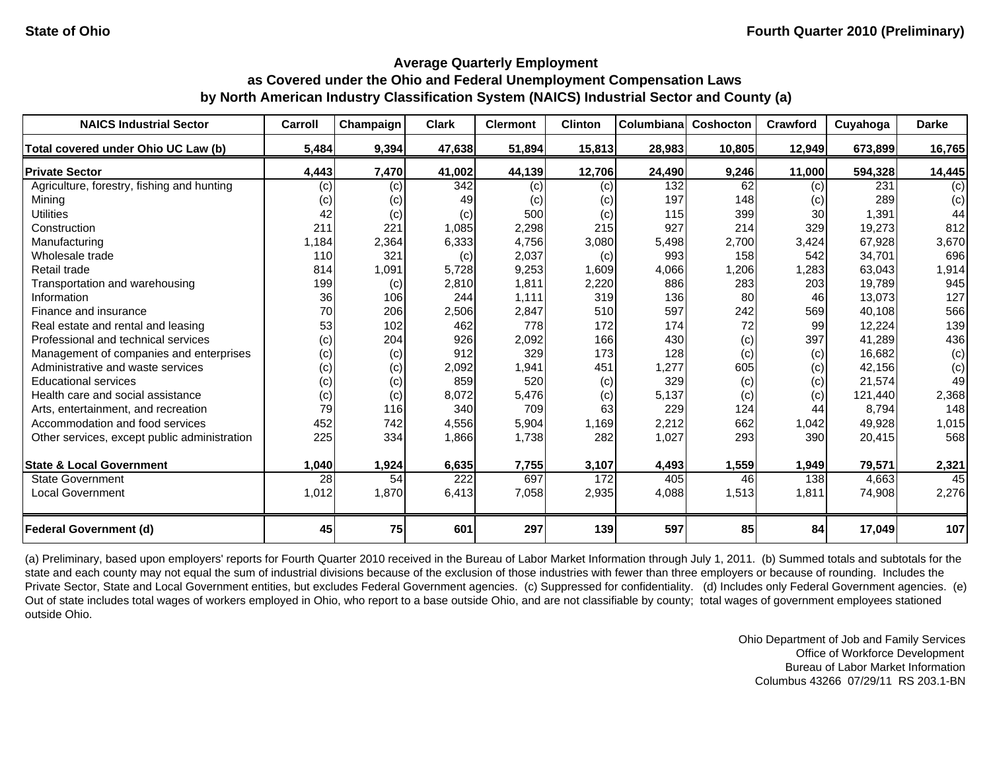| <b>NAICS Industrial Sector</b>               | Carroll | Champaign | <b>Clark</b> | <b>Clermont</b> | <b>Clinton</b> | Columbiana | Coshocton | Crawford  | Cuyahoga | <b>Darke</b> |
|----------------------------------------------|---------|-----------|--------------|-----------------|----------------|------------|-----------|-----------|----------|--------------|
| Total covered under Ohio UC Law (b)          | 5,484   | 9,394     | 47,638       | 51,894          | 15,813         | 28,983     | 10,805    | 12,949    | 673,899  | 16,765       |
| <b>Private Sector</b>                        | 4,443   | 7,470     | 41,002       | 44,139          | 12,706         | 24,490     | 9,246     | 11,000    | 594,328  | 14,445       |
| Agriculture, forestry, fishing and hunting   | (c)     | (c)       | 342          | (c)             | (c)            | 132        | 62        | (c)       | 231      | (c)          |
| Mining                                       | (c)     | (c)       | 49           | (c)             | (c)            | 197        | 148       | (c)       | 289      | (c)          |
| <b>Utilities</b>                             | 42      | (c)       | (c)          | 500             | (c)            | 115        | 399       | <b>30</b> | 1,391    | 44           |
| Construction                                 | 211     | 221       | 1,085        | 2,298           | 215            | 927        | 214       | 329       | 19,273   | 812          |
| Manufacturing                                | 1,184   | 2,364     | 6,333        | 4,756           | 3,080          | 5,498      | 2,700     | 3,424     | 67,928   | 3,670        |
| Wholesale trade                              | 110     | 321       | (c)          | 2,037           | (c)            | 993        | 158       | 542       | 34,701   | 696          |
| Retail trade                                 | 814     | 1,091     | 5,728        | 9,253           | 1,609          | 4,066      | 1,206     | ,283      | 63,043   | 1,914        |
| Transportation and warehousing               | 199     | (c)       | 2,810        | 1,811           | 2,220          | 886        | 283       | 203       | 19,789   | 945          |
| Information                                  | 36      | 106       | 244          | 1.111           | 319            | 136        | 80        | 46        | 13,073   | 127          |
| Finance and insurance                        | 70      | 206       | 2,506        | 2,847           | 510            | 597        | 242       | 569       | 40,108   | 566          |
| Real estate and rental and leasing           | 53      | 102       | 462          | 778             | 172            | 174        | 72        | 99        | 12,224   | 139          |
| Professional and technical services          | (c)     | 204       | 926          | 2,092           | 166            | 430        | (c)       | 397       | 41,289   | 436          |
| Management of companies and enterprises      | (c)     | (c)       | 912          | 329             | 173            | 128        | (c)       | (c)       | 16,682   | (c)          |
| Administrative and waste services            | (c)     | (c)       | 2,092        | 1,941           | 451            | 1,277      | 605       | (c)       | 42.156   | (c)          |
| <b>Educational services</b>                  | (c)     | (c)       | 859          | 520             | (c)            | 329        | (c)       | (c)       | 21,574   | 49           |
| Health care and social assistance            | (c)     | (c)       | 8,072        | 5,476           | (c)            | 5,137      | (c)       | (c)       | 121,440  | 2,368        |
| Arts, entertainment, and recreation          | 79      | 116       | 340          | 709             | 63             | 229        | 124       | 44        | 8,794    | 148          |
| Accommodation and food services              | 452     | 742       | 4,556        | 5,904           | 1,169          | 2,212      | 662       | 1,042     | 49,928   | 1,015        |
| Other services, except public administration | 225     | 334       | 1,866        | 1,738           | 282            | 1,027      | 293       | 390       | 20,415   | 568          |
| <b>State &amp; Local Government</b>          | 1,040   | 1,924     | 6,635        | 7,755           | 3,107          | 4,493      | 1,559     | 1,949     | 79,571   | 2,321        |
| <b>State Government</b>                      | 28      | 54        | 222          | 697             | 172            | 405        | 46        | 138       | 4,663    | 45           |
| <b>Local Government</b>                      | 1,012   | 1,870     | 6,413        | 7,058           | 2,935          | 4,088      | 1,513     | 1,811     | 74,908   | 2,276        |
| <b>Federal Government (d)</b>                | 45      | 75        | 601          | 297             | 139            | 597        | 85        | 84        | 17,049   | 107          |

(a) Preliminary, based upon employers' reports for Fourth Quarter 2010 received in the Bureau of Labor Market Information through July 1, 2011. (b) Summed totals and subtotals for the state and each county may not equal the sum of industrial divisions because of the exclusion of those industries with fewer than three employers or because of rounding. Includes the Private Sector, State and Local Government entities, but excludes Federal Government agencies. (c) Suppressed for confidentiality. (d) Includes only Federal Government agencies. (e) Out of state includes total wages of workers employed in Ohio, who report to a base outside Ohio, and are not classifiable by county; total wages of government employees stationed outside Ohio.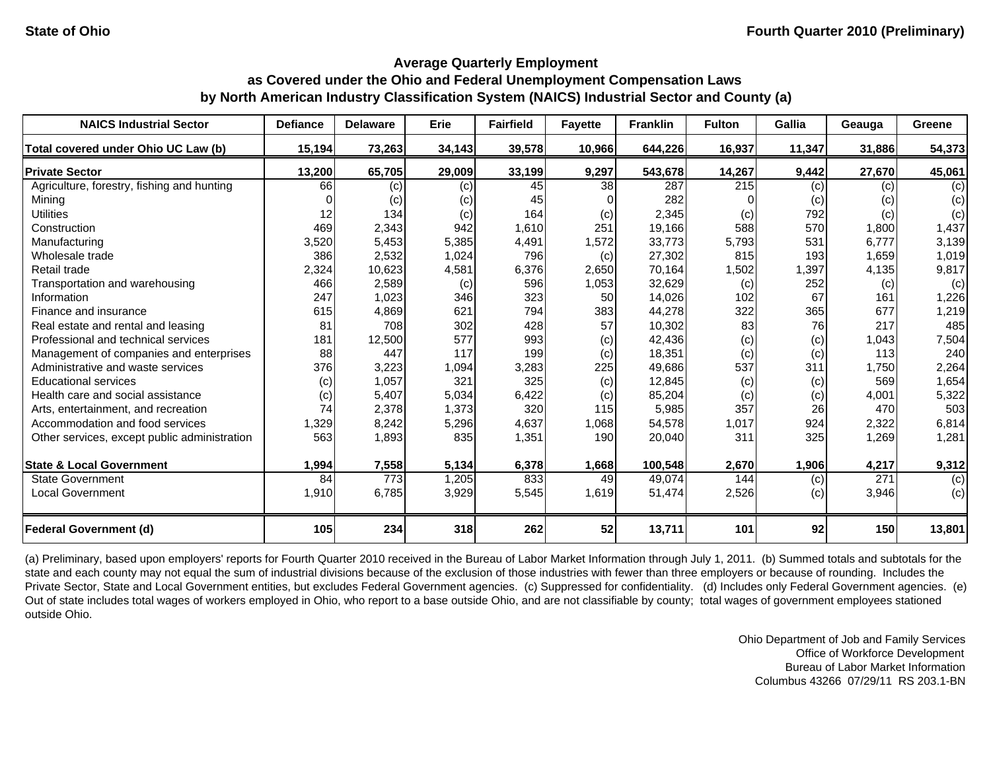| <b>NAICS Industrial Sector</b>               | <b>Defiance</b> | <b>Delaware</b>  | Erie   | <b>Fairfield</b> | <b>Fayette</b> | <b>Franklin</b> | <b>Fulton</b> | <b>Gallia</b> | Geauga | Greene         |
|----------------------------------------------|-----------------|------------------|--------|------------------|----------------|-----------------|---------------|---------------|--------|----------------|
| Total covered under Ohio UC Law (b)          | 15,194          | 73,263           | 34,143 | 39,578           | 10,966         | 644,226         | 16,937        | 11,347        | 31,886 | 54,373         |
| <b>Private Sector</b>                        | 13,200          | 65,705           | 29,009 | 33,199           | 9,297          | 543,678         | 14,267        | 9,442         | 27,670 | 45,061         |
| Agriculture, forestry, fishing and hunting   | 66              | (c)              | (c)    | 45               | 38             | 287             | 215           | (c)           | (c)    | (c)            |
| Minina                                       |                 | (c)              | (c)    | 45               |                | 282             |               | (c)           | (c)    | (c)            |
| <b>Utilities</b>                             | 12              | 134              | (c)    | 164              | (c)            | 2,345           | (c)           | 792           | (c)    | (c)            |
| Construction                                 | 469             | 2,343            | 942    | 1,610            | 251            | 19,166          | 588           | 570           | 1,800  | 1,437          |
| Manufacturing                                | 3,520           | 5,453            | 5,385  | 4,491            | 1,572          | 33,773          | 5,793         | 531           | 6,777  | 3,139          |
| Wholesale trade                              | 386             | 2,532            | 1,024  | 796              | (c)            | 27,302          | 815           | 193           | 1,659  | 1,019          |
| Retail trade                                 | 2,324           | 10,623           | 4,581  | 6,376            | 2,650          | 70,164          | 1,502         | 1,397         | 4,135  | 9,817          |
| Transportation and warehousing               | 466             | 2,589            | (c)    | 596              | 1,053          | 32,629          | (c)           | 252           | (c)    | (c)            |
| Information                                  | 247             | 1,023            | 346    | 323              | 50             | 14,026          | 102           | 67            | 161    | 1,226          |
| Finance and insurance                        | 615             | 4,869            | 621    | 794              | 383            | 44,278          | 322           | 365           | 677    | 1,219          |
| Real estate and rental and leasing           | 81              | 708              | 302    | 428              | 57             | 10,302          | 83            | 76            | 217    | 485            |
| Professional and technical services          | 181             | 12,500           | 577    | 993              | (c)            | 42,436          | (c)           | (c)           | 1,043  | 7,504          |
| Management of companies and enterprises      | 88              | 447              | 117    | 199              | (c)            | 18,351          | (c)           | (c)           | 113    | 240            |
| Administrative and waste services            | 376             | 3,223            | 1,094  | 3,283            | 225            | 49,686          | 537           | 311           | 1,750  | 2,264          |
| <b>Educational services</b>                  | (c)             | 1,057            | 321    | 325              | (c)            | 12,845          | (c)           | (c)           | 569    | 1,654          |
| Health care and social assistance            | (c)             | 5,407            | 5,034  | 6,422            | (c)            | 85,204          | (c)           | (c)           | 4,001  | 5,322          |
| Arts, entertainment, and recreation          | 74              | 2,378            | 1,373  | 320              | 115            | 5,985           | 357           | 26            | 470    | 503            |
| Accommodation and food services              | 1,329           | 8,242            | 5,296  | 4,637            | 1,068          | 54,578          | 1,017         | 924           | 2,322  | 6,814          |
| Other services, except public administration | 563             | 1,893            | 835    | 1,351            | 190            | 20,040          | 311           | 325           | 1,269  | 1,281          |
| <b>State &amp; Local Government</b>          | 1,994           | 7,558            | 5,134  | 6,378            | 1,668          | 100,548         | 2,670         | 1,906         | 4,217  | 9,312          |
| <b>State Government</b>                      | 84              | $\overline{773}$ | 1,205  | 833              | 49             | 49,074          | 144           | (c)           | 271    | $\overline{c}$ |
| Local Government                             | 1,910           | 6,785            | 3,929  | 5,545            | 1,619          | 51,474          | 2,526         | (c)           | 3,946  | (c)            |
|                                              |                 |                  |        |                  |                |                 |               |               |        |                |
| <b>Federal Government (d)</b>                | 105             | 234              | 318    | 262              | 52             | 13,711          | 101           | 92            | 150    | 13,801         |

(a) Preliminary, based upon employers' reports for Fourth Quarter 2010 received in the Bureau of Labor Market Information through July 1, 2011. (b) Summed totals and subtotals for the state and each county may not equal the sum of industrial divisions because of the exclusion of those industries with fewer than three employers or because of rounding. Includes the Private Sector, State and Local Government entities, but excludes Federal Government agencies. (c) Suppressed for confidentiality. (d) Includes only Federal Government agencies. (e) Out of state includes total wages of workers employed in Ohio, who report to a base outside Ohio, and are not classifiable by county; total wages of government employees stationed outside Ohio.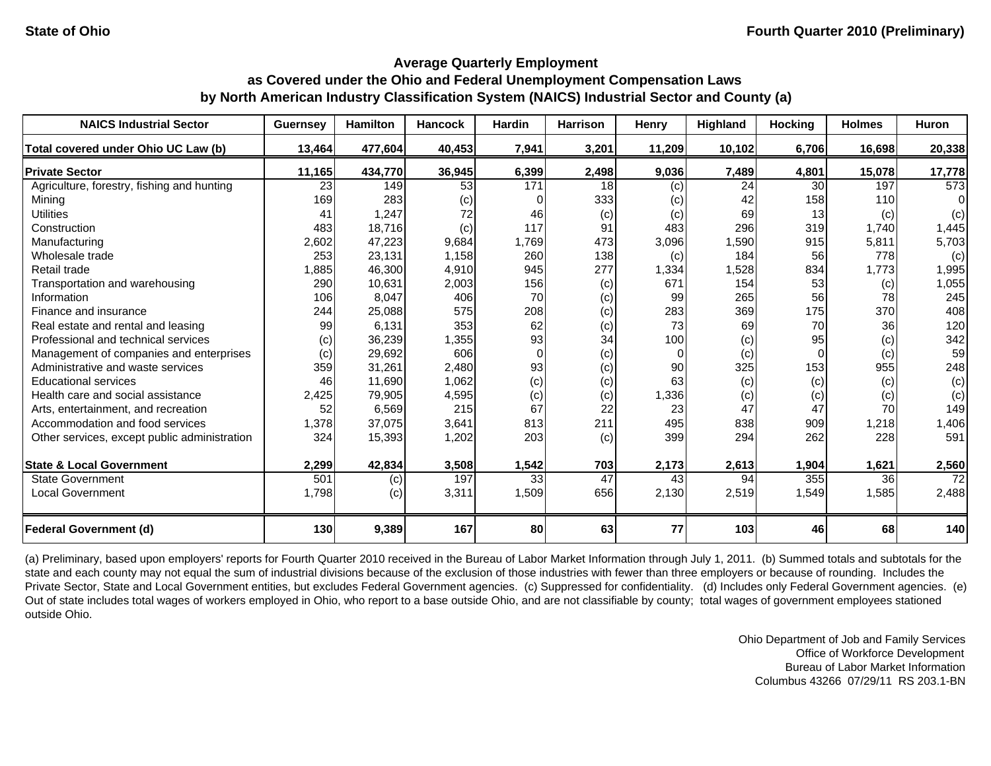| <b>NAICS Industrial Sector</b>               | <b>Guernsey</b> | <b>Hamilton</b> | <b>Hancock</b> | Hardin | <b>Harrison</b> | Henry    | Highland | <b>Hocking</b> | <b>Holmes</b> | <b>Huron</b> |
|----------------------------------------------|-----------------|-----------------|----------------|--------|-----------------|----------|----------|----------------|---------------|--------------|
| Total covered under Ohio UC Law (b)          | 13,464          | 477,604         | 40,453         | 7,941  | 3,201           | 11,209   | 10,102   | 6,706          | 16,698        | 20,338       |
| <b>Private Sector</b>                        | 11,165          | 434,770         | 36,945         | 6,399  | 2,498           | 9,036    | 7,489    | 4,801          | 15,078        | 17,778       |
| Agriculture, forestry, fishing and hunting   | 23              | 149             | 53             | 171    | 18              | (c)      | 24       | 30             | 197           | 573          |
| Mining                                       | 169             | 283             | (c)            |        | 333             | (c)      | 42       | 158            | 110           | 0            |
| <b>Utilities</b>                             | 41              | 1,247           | 72             | 46     | (c)             | (c)      | 69       | 13             | (c)           | (c)          |
| Construction                                 | 483             | 18,716          | (c)            | 117    | 91              | 483      | 296      | 319            | 1,740         | 1,445        |
| Manufacturing                                | 2,602           | 47,223          | 9,684          | 1,769  | 473             | 3,096    | ,590     | 915            | 5,811         | 5,703        |
| Wholesale trade                              | 253             | 23,131          | 1,158          | 260    | 138             | (c)      | 184      | 56             | 778           | (c)          |
| Retail trade                                 | 1,885           | 46,300          | 4,910          | 945    | 277             | 1,334    | 1,528    | 834            | 1,773         | 1,995        |
| Transportation and warehousing               | 290             | 10,631          | 2,003          | 156    | (c)             | 671      | 154      | 53             | (c)           | 1,055        |
| Information                                  | 106             | 8,047           | 406            | 70     | (c)             | 99       | 265      | 56             | 78            | 245          |
| Finance and insurance                        | 244             | 25,088          | 575            | 208    | (c)             | 283      | 369      | 175            | 370           | 408          |
| Real estate and rental and leasing           | 99              | 6,131           | 353            | 62     | (c)             | 73       | 69       | 70             | 36            | 120          |
| Professional and technical services          | (c)             | 36,239          | 1,355          | 93     | 34              | 100      | (c)      | 95             | (c)           | 342          |
| Management of companies and enterprises      | (c)             | 29,692          | 606            | 0      | (c)             | $\Omega$ | (c)      |                | (c)           | 59           |
| Administrative and waste services            | 359             | 31,261          | 2,480          | 93     | (c)             | 90       | 325      | 153            | 955           | 248          |
| <b>Educational services</b>                  | 46              | 11,690          | 1,062          | (c)    | (c)             | 63       | (c)      | (c)            | (c)           | (c)          |
| Health care and social assistance            | 2,425           | 79,905          | 4,595          | (c)    | (c)             | 1,336    | (c)      | (c)            | (c)           | (c)          |
| Arts, entertainment, and recreation          | 52              | 6,569           | 215            | 67     | 22              | 23       | 47       | 47             | 70            | 149          |
| Accommodation and food services              | 1,378           | 37,075          | 3,641          | 813    | 211             | 495      | 838      | 909            | 1,218         | 1,406        |
| Other services, except public administration | 324             | 15,393          | 1,202          | 203    | (c)             | 399      | 294      | 262            | 228           | 591          |
| <b>State &amp; Local Government</b>          | 2,299           | 42,834          | 3,508          | 1,542  | 703             | 2,173    | 2,613    | 1,904          | 1,621         | 2,560        |
| <b>State Government</b>                      | 501             | (c)             | 197            | 33     | $\overline{47}$ | 43       | 94       | 355            | 36            | 72           |
| <b>Local Government</b>                      | 1,798           | (c)             | 3,311          | 1,509  | 656             | 2,130    | 2,519    | 1,549          | 1,585         | 2,488        |
| <b>Federal Government (d)</b>                | 130             | 9,389           | 167            | 80     | 63              | 77       | 103      | 46             | 68            | 140          |

(a) Preliminary, based upon employers' reports for Fourth Quarter 2010 received in the Bureau of Labor Market Information through July 1, 2011. (b) Summed totals and subtotals for the state and each county may not equal the sum of industrial divisions because of the exclusion of those industries with fewer than three employers or because of rounding. Includes the Private Sector, State and Local Government entities, but excludes Federal Government agencies. (c) Suppressed for confidentiality. (d) Includes only Federal Government agencies. (e) Out of state includes total wages of workers employed in Ohio, who report to a base outside Ohio, and are not classifiable by county; total wages of government employees stationed outside Ohio.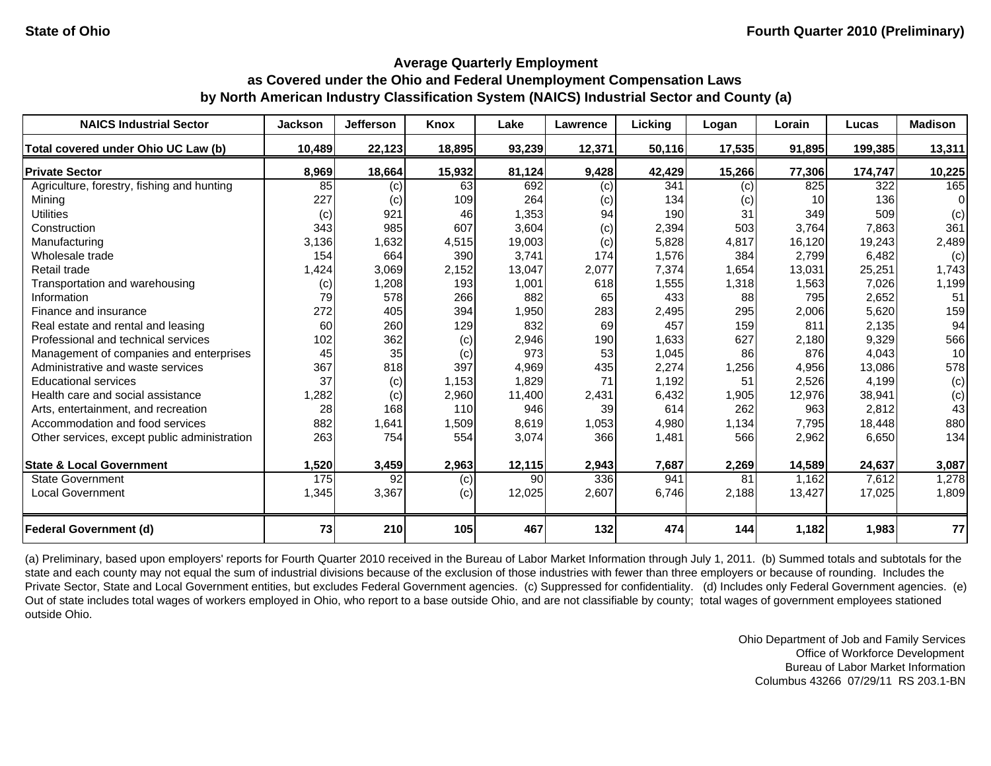| <b>NAICS Industrial Sector</b>               | <b>Jackson</b> | <b>Jefferson</b> | <b>Knox</b> | Lake   | Lawrence | Licking | Logan  | Lorain          | Lucas   | <b>Madison</b> |
|----------------------------------------------|----------------|------------------|-------------|--------|----------|---------|--------|-----------------|---------|----------------|
| Total covered under Ohio UC Law (b)          | 10,489         | 22,123           | 18,895      | 93,239 | 12,371   | 50,116  | 17,535 | 91,895          | 199,385 | 13,311         |
| <b>Private Sector</b>                        | 8,969          | 18,664           | 15,932      | 81,124 | 9,428    | 42,429  | 15,266 | 77,306          | 174,747 | 10,225         |
| Agriculture, forestry, fishing and hunting   | 85             | (c)              | 63          | 692    | (c)      | 341     | (c)    | 825             | 322     | 165            |
| Mining                                       | 227            | (c)              | 109         | 264    | (c)      | 134     | (c)    | 10 <sup>1</sup> | 136     | $\Omega$       |
| <b>Utilities</b>                             | (c)            | 921              | 46          | 1,353  | 94       | 190     | 31     | 349             | 509     | (c)            |
| Construction                                 | 343            | 985              | 607         | 3,604  | (c)      | 2,394   | 503    | 3,764           | 7,863   | 361            |
| Manufacturing                                | 3,136          | 1,632            | 4,515       | 19,003 | (c)      | 5,828   | 4,817  | 16,120          | 19,243  | 2,489          |
| Wholesale trade                              | 154            | 664              | 390         | 3,741  | 174      | 1,576   | 384    | 2,799           | 6,482   | (c)            |
| Retail trade                                 | 1,424          | 3,069            | 2,152       | 13,047 | 2,077    | 7,374   | 1,654  | 13,031          | 25,251  | 1,743          |
| Transportation and warehousing               | (c)            | 1,208            | 193         | 1,001  | 618      | 1,555   | 1,318  | 1,563           | 7,026   | 1,199          |
| Information                                  | 79             | 578              | 266         | 882    | 65       | 433     | 88     | 795             | 2,652   | 51             |
| Finance and insurance                        | 272            | 405              | 394         | 1,950  | 283      | 2,495   | 295    | 2,006           | 5,620   | 159            |
| Real estate and rental and leasing           | 60             | 260              | 129         | 832    | 69       | 457     | 159    | 811             | 2,135   | 94             |
| Professional and technical services          | 102            | 362              | (c)         | 2,946  | 190      | 1,633   | 627    | 2,180           | 9,329   | 566            |
| Management of companies and enterprises      | 45             | 35               | (c)         | 973    | 53       | 1,045   | 86     | 876             | 4,043   | 10             |
| Administrative and waste services            | 367            | 818              | 397         | 4,969  | 435      | 2,274   | 1,256  | 4,956           | 13,086  | 578            |
| <b>Educational services</b>                  | 37             | (c)              | 1,153       | 1,829  | 71       | 1,192   | 51     | 2,526           | 4,199   | (c)            |
| Health care and social assistance            | 1,282          | (c)              | 2,960       | 11,400 | 2,431    | 6,432   | 1,905  | 12,976          | 38,941  | (c)            |
| Arts, entertainment, and recreation          | 28             | 168              | 110         | 946    | 39       | 614     | 262    | 963             | 2,812   | 43             |
| Accommodation and food services              | 882            | 1,641            | 1,509       | 8,619  | 1,053    | 4,980   | 1,134  | 7,795           | 18,448  | 880            |
| Other services, except public administration | 263            | 754              | 554         | 3,074  | 366      | 1,481   | 566    | 2,962           | 6,650   | 134            |
| <b>State &amp; Local Government</b>          | 1,520          | 3,459            | 2,963       | 12,115 | 2,943    | 7,687   | 2,269  | 14,589          | 24,637  | 3,087          |
| <b>State Government</b>                      | 175            | 92               | (c)         | 90     | 336      | 941     | 81     | 1.162           | 7,612   | 1,278          |
| <b>Local Government</b>                      | 1,345          | 3,367            | (c)         | 12,025 | 2,607    | 6,746   | 2,188  | 13,427          | 17,025  | 1,809          |
| <b>Federal Government (d)</b>                | 73             | 210              | 105         | 467    | 132      | 474     | 144    | 1,182           | 1,983   | 77             |

(a) Preliminary, based upon employers' reports for Fourth Quarter 2010 received in the Bureau of Labor Market Information through July 1, 2011. (b) Summed totals and subtotals for the state and each county may not equal the sum of industrial divisions because of the exclusion of those industries with fewer than three employers or because of rounding. Includes the Private Sector, State and Local Government entities, but excludes Federal Government agencies. (c) Suppressed for confidentiality. (d) Includes only Federal Government agencies. (e) Out of state includes total wages of workers employed in Ohio, who report to a base outside Ohio, and are not classifiable by county; total wages of government employees stationed outside Ohio.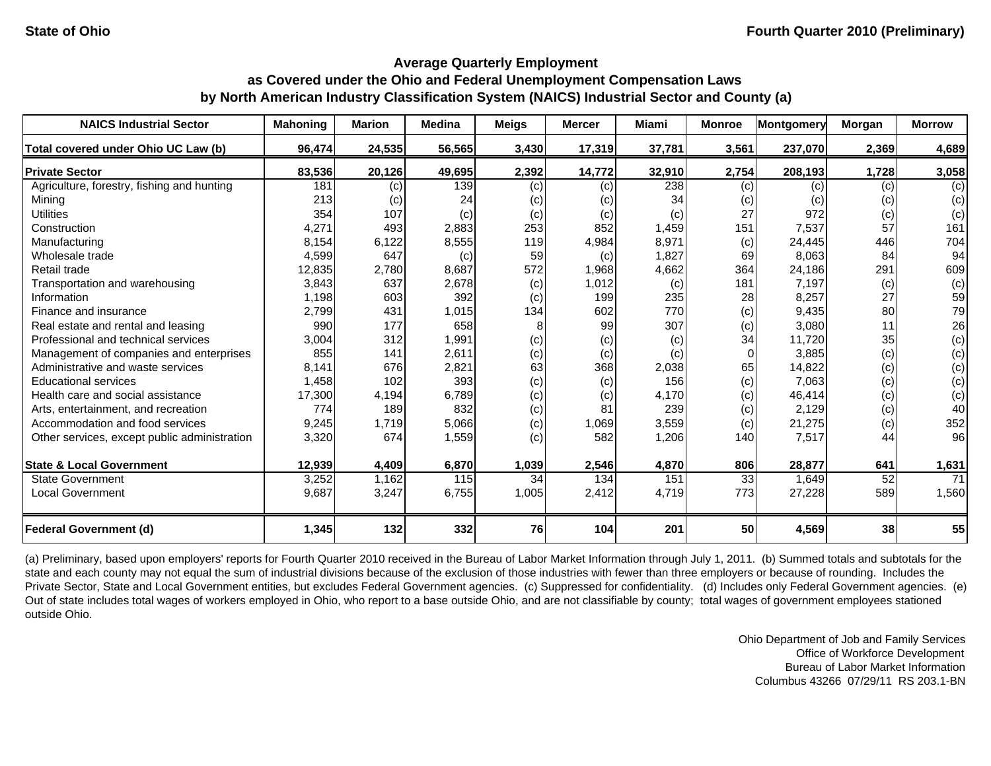| <b>NAICS Industrial Sector</b>               | <b>Mahoning</b> | <b>Marion</b> | <b>Medina</b> | <b>Meigs</b> | <b>Mercer</b> | <b>Miami</b> | <b>Monroe</b> | <b>Montgomery</b> | Morgan | <b>Morrow</b> |
|----------------------------------------------|-----------------|---------------|---------------|--------------|---------------|--------------|---------------|-------------------|--------|---------------|
| Total covered under Ohio UC Law (b)          | 96,474          | 24,535        | 56,565        | 3,430        | 17,319        | 37,781       | 3,561         | 237,070           | 2,369  | 4,689         |
| <b>Private Sector</b>                        | 83,536          | 20,126        | 49,695        | 2,392        | 14,772        | 32,910       | 2,754         | 208,193           | 1,728  | 3,058         |
| Agriculture, forestry, fishing and hunting   | 181             | (c)           | 139           | (c)          | (c)           | 238          | (c)           | (c)               | (c)    | (c)           |
| Mining                                       | 213             | (c)           | 24            | (c)          | (c)           | 34           | (c)           | (c)               | (c)    | (c)           |
| <b>Utilities</b>                             | 354             | 107           | (c)           | (c)          | (c)           | (c)          | 27            | 972               | (c)    | (c)           |
| Construction                                 | 4,271           | 493           | 2,883         | 253          | 852           | 1,459        | 151           | 7,537             | 57     | 161           |
| Manufacturing                                | 8,154           | 6,122         | 8,555         | 119          | 4,984         | 8,971        | (c)           | 24,445            | 446    | 704           |
| Wholesale trade                              | 4,599           | 647           | (c)           | 59           | (c)           | 1,827        | 69            | 8,063             | 84     | 94            |
| Retail trade                                 | 12,835          | 2,780         | 8,687         | 572          | 1,968         | 4,662        | 364           | 24,186            | 291    | 609           |
| Transportation and warehousing               | 3,843           | 637           | 2,678         | (c)          | 1,012         | (c)          | 181           | 7,197             | (c)    | (c)           |
| Information                                  | 1,198           | 603           | 392           | (c)          | 199           | 235          | 28            | 8,257             | 27     | 59            |
| Finance and insurance                        | 2,799           | 431           | 1,015         | 134          | 602           | 770          | (c)           | 9,435             | 80     | 79            |
| Real estate and rental and leasing           | 990             | 177           | 658           | 8            | 99            | 307          | (c)           | 3,080             | 11     | 26            |
| Professional and technical services          | 3,004           | 312           | 1,991         | (c)          | (c)           | (c)          | 34            | 11,720            | 35     | (c)           |
| Management of companies and enterprises      | 855             | 141           | 2,611         | (c)          | (c)           | (c)          | $\Omega$      | 3,885             | (c)    | (c)           |
| Administrative and waste services            | 8.141           | 676           | 2,821         | 63           | 368           | 2,038        | 65            | 14,822            | (c)    | (c)           |
| <b>Educational services</b>                  | 1,458           | 102           | 393           | (c)          | (c)           | 156          | (c)           | 7,063             | (c)    | (c)           |
| Health care and social assistance            | 17,300          | 4,194         | 6,789         | (c)          | (c)           | 4,170        | (c)           | 46,414            | (c)    | (c)           |
| Arts, entertainment, and recreation          | 774             | 189           | 832           | (c)          | 81            | 239          | (c)           | 2,129             | (c)    | 40            |
| Accommodation and food services              | 9,245           | 1,719         | 5,066         | (c)          | 1,069         | 3,559        | (c)           | 21,275            | (c)    | 352           |
| Other services, except public administration | 3,320           | 674           | 1,559         | (c)          | 582           | 1,206        | 140           | 7,517             | 44     | 96            |
| <b>State &amp; Local Government</b>          | 12,939          | 4,409         | 6,870         | 1,039        | 2,546         | 4,870        | 806           | 28,877            | 641    | 1,631         |
| <b>State Government</b>                      | 3,252           | 1,162         | 115           | 34           | 134           | 151          | 33            | 1,649             | 52     | 71            |
| <b>Local Government</b>                      | 9,687           | 3,247         | 6,755         | 1,005        | 2,412         | 4,719        | 773           | 27,228            | 589    | 1,560         |
| <b>Federal Government (d)</b>                | 1,345           | 132           | 332           | 76           | 104           | 201          | 50            | 4,569             | 38     | 55            |

(a) Preliminary, based upon employers' reports for Fourth Quarter 2010 received in the Bureau of Labor Market Information through July 1, 2011. (b) Summed totals and subtotals for the state and each county may not equal the sum of industrial divisions because of the exclusion of those industries with fewer than three employers or because of rounding. Includes the Private Sector, State and Local Government entities, but excludes Federal Government agencies. (c) Suppressed for confidentiality. (d) Includes only Federal Government agencies. (e) Out of state includes total wages of workers employed in Ohio, who report to a base outside Ohio, and are not classifiable by county; total wages of government employees stationed outside Ohio.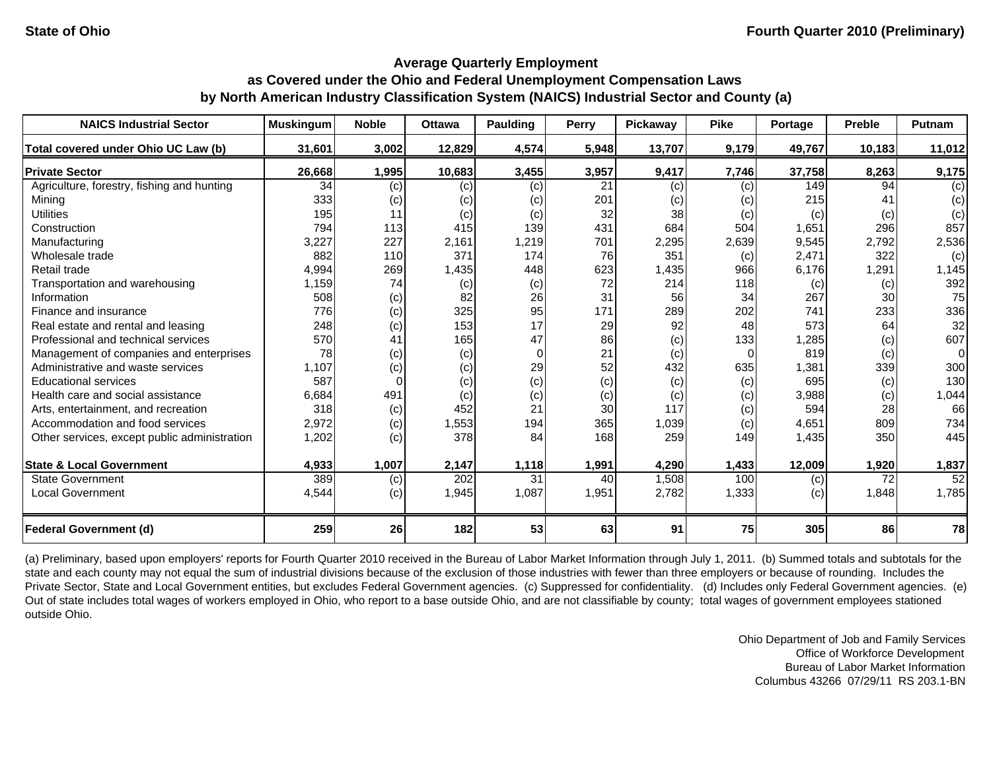| <b>NAICS Industrial Sector</b>               | <b>Muskingum</b> | <b>Noble</b> | <b>Ottawa</b> | <b>Paulding</b> | Perry | Pickaway | <b>Pike</b> | Portage | <b>Preble</b> | <b>Putnam</b> |
|----------------------------------------------|------------------|--------------|---------------|-----------------|-------|----------|-------------|---------|---------------|---------------|
| Total covered under Ohio UC Law (b)          | 31,601           | 3,002        | 12,829        | 4,574           | 5,948 | 13,707   | 9,179       | 49,767  | 10,183        | 11,012        |
| <b>Private Sector</b>                        | 26,668           | 1,995        | 10,683        | 3,455           | 3,957 | 9,417    | 7,746       | 37,758  | 8,263         | 9,175         |
| Agriculture, forestry, fishing and hunting   | 34               | (c)          | (c)           | (c)             | 21    | (c)      | (c)         | 149     | 94            | (c)           |
| Mining                                       | 333              | (c)          | (c)           | (c)             | 201   | (c)      | (c)         | 215     | 41            | (c)           |
| <b>Utilities</b>                             | 195              | 11           | (c)           | (c)             | 32    | 38       | (c)         | (c)     | (c)           | (c)           |
| Construction                                 | 794              | 113          | 415           | 139             | 431   | 684      | 504         | 1,651   | 296           | 857           |
| Manufacturing                                | 3,227            | 227          | 2,161         | 1,219           | 701   | 2,295    | 2,639       | 9,545   | 2,792         | 2,536         |
| Wholesale trade                              | 882              | 110          | 371           | 174             | 76    | 351      | (c)         | 2,471   | 322           | (c)           |
| Retail trade                                 | 4,994            | 269          | 1,435         | 448             | 623   | 1,435    | 966         | 6,176   | 1,291         | 1,145         |
| Transportation and warehousing               | 1,159            | 74           | (c)           | (c)             | 72    | 214      | 118         | (c)     | (c)           | 392           |
| Information                                  | 508              | (c)          | 82            | 26              | 31    | 56       | 34          | 267     | 30            | 75            |
| Finance and insurance                        | 776              | (c)          | 325           | 95              | 171   | 289      | 202         | 741     | 233           | 336           |
| Real estate and rental and leasing           | 248              | (c)          | 153           | 17              | 29    | 92       | 48          | 573     | 64            | 32            |
| Professional and technical services          | 570              | 41           | 165           | 47              | 86    | (c)      | 133         | 1,285   | (c)           | 607           |
| Management of companies and enterprises      | 78               | (c)          | (c)           | $\Omega$        | 21    | (c)      | $\Omega$    | 819     | (c)           | 0             |
| Administrative and waste services            | 1,107            | (c)          | (c)           | 29              | 52    | 432      | 635         | 1,381   | 339           | 300           |
| <b>Educational services</b>                  | 587              |              | (c)           | (c)             | (c)   | (c)      | (c)         | 695     | (c)           | 130           |
| Health care and social assistance            | 6,684            | 491          | (c)           | (c)             | (c)   | (c)      | (c)         | 3,988   | (c)           | 1,044         |
| Arts, entertainment, and recreation          | 318              | (c)          | 452           | 21              | 30    | 117      | (c)         | 594     | 28            | 66            |
| Accommodation and food services              | 2,972            | (c)          | 1,553         | 194             | 365   | 1,039    | (c)         | 4,651   | 809           | 734           |
| Other services, except public administration | 1,202            | (c)          | 378           | 84              | 168   | 259      | 149         | 1,435   | 350           | 445           |
| <b>State &amp; Local Government</b>          | 4,933            | 1,007        | 2,147         | 1,118           | 1,991 | 4,290    | 1,433       | 12,009  | 1,920         | 1,837         |
| <b>State Government</b>                      | 389              | (c)          | 202           | 31              | 40    | 1,508    | 100         | (c)     | 72            | 52            |
| <b>Local Government</b>                      | 4,544            | (c)          | 1,945         | 1,087           | 1,951 | 2,782    | 1,333       | (c)     | 1,848         | 1,785         |
| <b>Federal Government (d)</b>                | 259              | 26           | 182           | 53              | 63    | 91       | 75          | 305     | 86            | 78            |

(a) Preliminary, based upon employers' reports for Fourth Quarter 2010 received in the Bureau of Labor Market Information through July 1, 2011. (b) Summed totals and subtotals for the state and each county may not equal the sum of industrial divisions because of the exclusion of those industries with fewer than three employers or because of rounding. Includes the Private Sector, State and Local Government entities, but excludes Federal Government agencies. (c) Suppressed for confidentiality. (d) Includes only Federal Government agencies. (e) Out of state includes total wages of workers employed in Ohio, who report to a base outside Ohio, and are not classifiable by county; total wages of government employees stationed outside Ohio.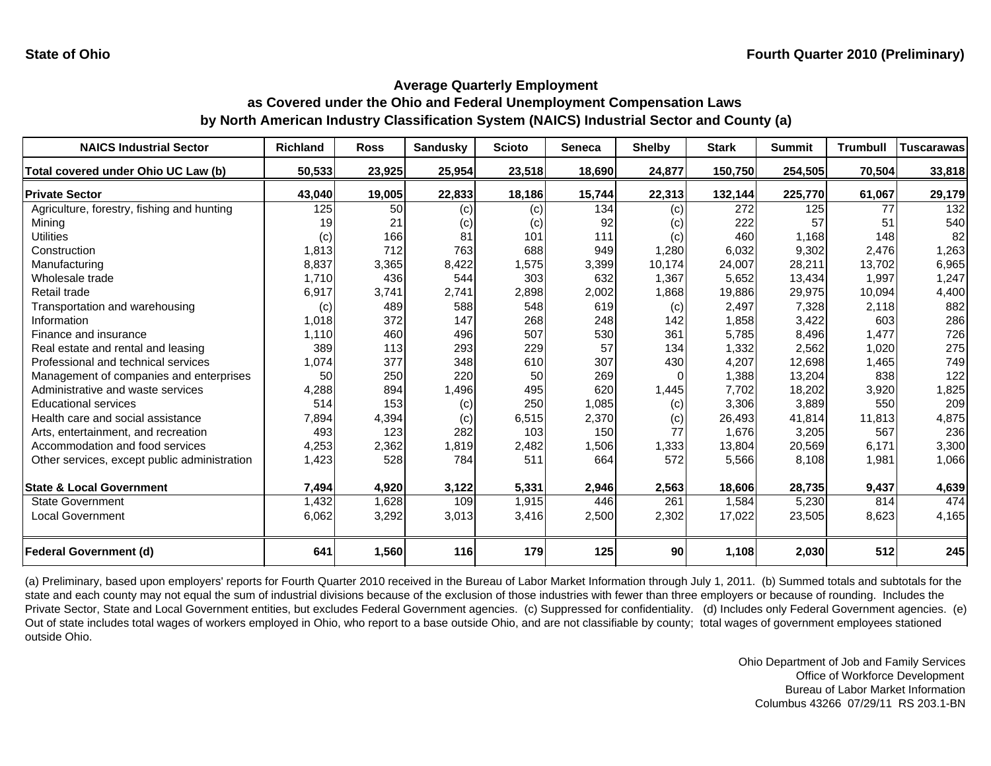| <b>NAICS Industrial Sector</b>               | <b>Richland</b> | <b>Ross</b> | <b>Sandusky</b> | <b>Scioto</b> | <b>Seneca</b> | <b>Shelby</b> | <b>Stark</b> | <b>Summit</b> | <b>Trumbull</b> | <b>Tuscarawas</b> |
|----------------------------------------------|-----------------|-------------|-----------------|---------------|---------------|---------------|--------------|---------------|-----------------|-------------------|
| Total covered under Ohio UC Law (b)          | 50,533          | 23,925      | 25,954          | 23,518        | 18,690        | 24,877        | 150,750      | 254,505       | 70,504          | 33,818            |
| <b>Private Sector</b>                        | 43,040          | 19,005      | 22,833          | 18,186        | 15,744        | 22,313        | 132,144      | 225,770       | 61,067          | 29,179            |
| Agriculture, forestry, fishing and hunting   | 125             | 50          | (c)             | (c)           | 134           | (c)           | 272          | 125           | 77              | 132               |
| Minina                                       | 19              | 21          | (c)             | (c)           | 92            | (c)           | 222          | 57            | 51              | 540               |
| <b>Utilities</b>                             | (c)             | 166         | 81              | 101           | 111           | (c)           | 460          | 1.168         | 148             | 82                |
| Construction                                 | 1,813           | 712         | 763             | 688           | 949           | 1,280         | 6,032        | 9,302         | 2.476           | 1,263             |
| Manufacturing                                | 8,837           | 3,365       | 8,422           | 1,575         | 3,399         | 10,174        | 24,007       | 28,211        | 13,702          | 6,965             |
| Wholesale trade                              | 1,710           | 436         | 544             | 303           | 632           | 1,367         | 5,652        | 13,434        | 1,997           | 1,247             |
| Retail trade                                 | 6,917           | 3,741       | 2,741           | 2,898         | 2,002         | 1,868         | 19,886       | 29,975        | 10,094          | 4,400             |
| Transportation and warehousing               | (c)             | 489         | 588             | 548           | 619           | (c)           | 2,497        | 7,328         | 2,118           | 882               |
| Information                                  | 1,018           | 372         | 147             | 268           | 248           | 142           | 1,858        | 3,422         | 603             | 286               |
| Finance and insurance                        | 1,110           | 460         | 496             | 507           | 530           | 361           | 5,785        | 8,496         | 1,477           | 726               |
| Real estate and rental and leasing           | 389             | 113         | 293             | 229           | 57            | 134           | 1,332        | 2,562         | 1,020           | 275               |
| Professional and technical services          | 1,074           | 377         | 348             | 610           | 307           | 430           | 4,207        | 12,698        | 1,465           | 749               |
| Management of companies and enterprises      | 50              | 250         | 220             | 50            | 269           | 0             | 1,388        | 13,204        | 838             | 122               |
| Administrative and waste services            | 4,288           | 894         | 1,496           | 495           | 620           | 1,445         | 7,702        | 18,202        | 3,920           | 1,825             |
| <b>Educational services</b>                  | 514             | 153         | (c)             | 250           | 1,085         | (c)           | 3,306        | 3,889         | 550             | 209               |
| Health care and social assistance            | 7,894           | 4,394       | (c)             | 6,515         | 2,370         | (c)           | 26,493       | 41,814        | 11,813          | 4,875             |
| Arts, entertainment, and recreation          | 493             | 123         | 282             | 103           | 150           | 77            | 1,676        | 3,205         | 567             | 236               |
| Accommodation and food services              | 4,253           | 2,362       | 1,819           | 2,482         | 1,506         | 1,333         | 13,804       | 20,569        | 6,171           | 3,300             |
| Other services, except public administration | 1,423           | 528         | 784             | 511           | 664           | 572           | 5,566        | 8,108         | 1,981           | 1,066             |
| <b>State &amp; Local Government</b>          | 7,494           | 4,920       | 3,122           | 5,331         | 2,946         | 2,563         | 18,606       | 28,735        | 9,437           | 4,639             |
| <b>State Government</b>                      | 1,432           | 1,628       | 109             | 1,915         | 446           | 261           | 1,584        | 5,230         | 814             | 474               |
| <b>Local Government</b>                      | 6,062           | 3,292       | 3,013           | 3,416         | 2,500         | 2,302         | 17,022       | 23,505        | 8,623           | 4,165             |
|                                              | 641             |             | <b>116</b>      | 179           | 125           | 90            |              |               | 512             | 245               |
| <b>Federal Government (d)</b>                |                 | 1,560       |                 |               |               |               | 1,108        | 2,030         |                 |                   |

(a) Preliminary, based upon employers' reports for Fourth Quarter 2010 received in the Bureau of Labor Market Information through July 1, 2011. (b) Summed totals and subtotals for the state and each county may not equal the sum of industrial divisions because of the exclusion of those industries with fewer than three employers or because of rounding. Includes the Private Sector, State and Local Government entities, but excludes Federal Government agencies. (c) Suppressed for confidentiality. (d) Includes only Federal Government agencies. (e) Out of state includes total wages of workers employed in Ohio, who report to a base outside Ohio, and are not classifiable by county; total wages of government employees stationed outside Ohio.